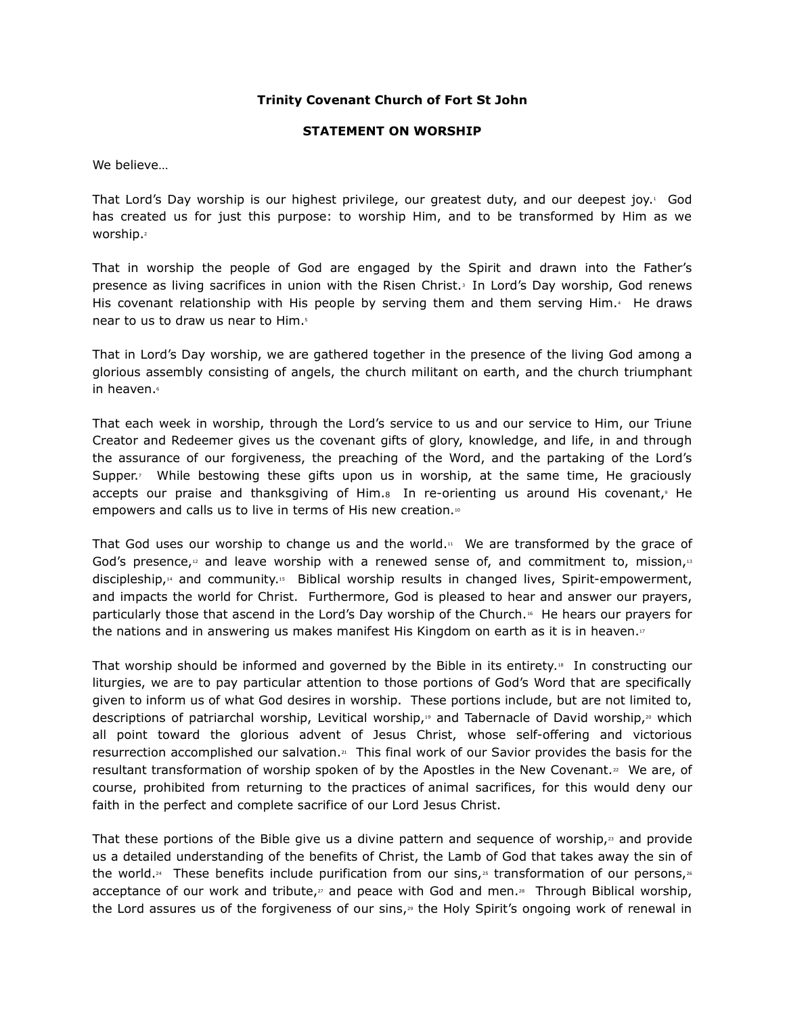## Trinity Covenant Church of Fort St John

## STATEMENT ON WORSHIP

We believe…

That Lord's Day worship is our highest privilege, our greatest duty, and our deepest joy.1 God has created us for just this purpose: to worship Him, and to be transformed by Him as we worship.<sup>2</sup>

That in worship the people of God are engaged by the Spirit and drawn into the Father's presence as living sacrifices in union with the Risen Christ.<sup>3</sup> In Lord's Day worship, God renews His covenant relationship with His people by serving them and them serving Him.4 He draws near to us to draw us near to Him.<sup>5</sup>

That in Lord's Day worship, we are gathered together in the presence of the living God among a glorious assembly consisting of angels, the church militant on earth, and the church triumphant in heaven.6

That each week in worship, through the Lord's service to us and our service to Him, our Triune Creator and Redeemer gives us the covenant gifts of glory, knowledge, and life, in and through the assurance of our forgiveness, the preaching of the Word, and the partaking of the Lord's Supper.<sup>7</sup> While bestowing these gifts upon us in worship, at the same time, He graciously accepts our praise and thanksgiving of Him. $s$  In re-orienting us around His covenant, $\phi$  He empowers and calls us to live in terms of His new creation.<sup>10</sup>

That God uses our worship to change us and the world. $11$  We are transformed by the grace of God's presence,<sup>12</sup> and leave worship with a renewed sense of, and commitment to, mission,<sup>13</sup> discipleship,<sup>14</sup> and community.<sup>15</sup> Biblical worship results in changed lives, Spirit-empowerment, and impacts the world for Christ. Furthermore, God is pleased to hear and answer our prayers, particularly those that ascend in the Lord's Day worship of the Church.<sup>16</sup> He hears our prayers for the nations and in answering us makes manifest His Kingdom on earth as it is in heaven. $\sqrt{17}$ 

That worship should be informed and governed by the Bible in its entirety.<sup>18</sup> In constructing our liturgies, we are to pay particular attention to those portions of God's Word that are specifically given to inform us of what God desires in worship. These portions include, but are not limited to, descriptions of patriarchal worship, Levitical worship,<sup>19</sup> and Tabernacle of David worship,<sup>20</sup> which all point toward the glorious advent of Jesus Christ, whose self-offering and victorious resurrection accomplished our salvation.<sup>21</sup> This final work of our Savior provides the basis for the resultant transformation of worship spoken of by the Apostles in the New Covenant.<sup>22</sup> We are, of course, prohibited from returning to the practices of animal sacrifices, for this would deny our faith in the perfect and complete sacrifice of our Lord Jesus Christ.

That these portions of the Bible give us a divine pattern and sequence of worship, $23$  and provide us a detailed understanding of the benefits of Christ, the Lamb of God that takes away the sin of the world.<sub>24</sub> These benefits include purification from our sins, ${}^{_B}$  transformation of our persons, ${}^{^{_{B}}}$ acceptance of our work and tribute, $\bar{z}$  and peace with God and men.<sup>28</sup> Through Biblical worship, the Lord assures us of the forgiveness of our sins,<sup>29</sup> the Holy Spirit's ongoing work of renewal in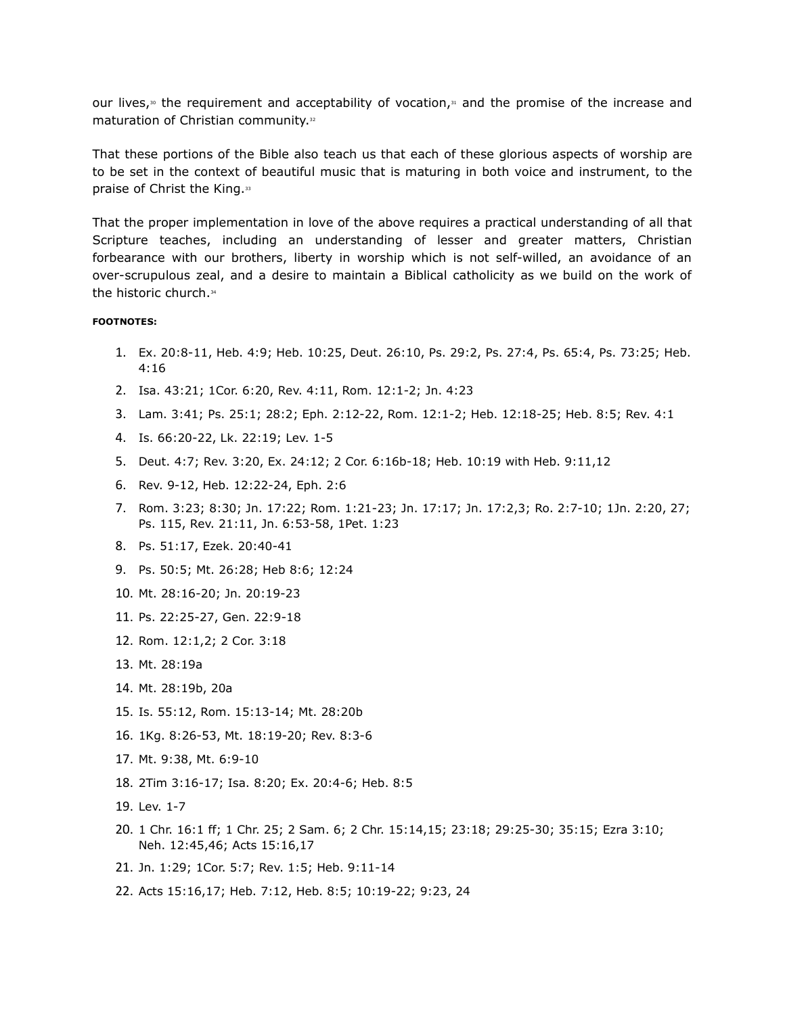our lives,<sup>30</sup> the requirement and acceptability of vocation, $31$  and the promise of the increase and maturation of Christian community.<sup>32</sup>

That these portions of the Bible also teach us that each of these glorious aspects of worship are to be set in the context of beautiful music that is maturing in both voice and instrument, to the praise of Christ the King.<sup>33</sup>

That the proper implementation in love of the above requires a practical understanding of all that Scripture teaches, including an understanding of lesser and greater matters, Christian forbearance with our brothers, liberty in worship which is not self-willed, an avoidance of an over-scrupulous zeal, and a desire to maintain a Biblical catholicity as we build on the work of the historic church.<sup>34</sup>

## FOOTNOTES:

- 1. Ex. 20:8-11, Heb. 4:9; Heb. 10:25, Deut. 26:10, Ps. 29:2, Ps. 27:4, Ps. 65:4, Ps. 73:25; Heb. 4:16
- 2. Isa. 43:21; 1Cor. 6:20, Rev. 4:11, Rom. 12:1-2; Jn. 4:23
- 3. Lam. 3:41; Ps. 25:1; 28:2; Eph. 2:12-22, Rom. 12:1-2; Heb. 12:18-25; Heb. 8:5; Rev. 4:1
- 4. Is. 66:20-22, Lk. 22:19; Lev. 1-5
- 5. Deut. 4:7; Rev. 3:20, Ex. 24:12; 2 Cor. 6:16b-18; Heb. 10:19 with Heb. 9:11,12
- 6. Rev. 9-12, Heb. 12:22-24, Eph. 2:6
- 7. Rom. 3:23; 8:30; Jn. 17:22; Rom. 1:21-23; Jn. 17:17; Jn. 17:2,3; Ro. 2:7-10; 1Jn. 2:20, 27; Ps. 115, Rev. 21:11, Jn. 6:53-58, 1Pet. 1:23
- 8. Ps. 51:17, Ezek. 20:40-41
- 9. Ps. 50:5; Mt. 26:28; Heb 8:6; 12:24
- 10. Mt. 28:16-20; Jn. 20:19-23
- 11. Ps. 22:25-27, Gen. 22:9-18
- 12. Rom. 12:1,2; 2 Cor. 3:18
- 13. Mt. 28:19a
- 14. Mt. 28:19b, 20a
- 15. Is. 55:12, Rom. 15:13-14; Mt. 28:20b
- 16. 1Kg. 8:26-53, Mt. 18:19-20; Rev. 8:3-6
- 17. Mt. 9:38, Mt. 6:9-10
- 18. 2Tim 3:16-17; Isa. 8:20; Ex. 20:4-6; Heb. 8:5
- 19. Lev. 1-7
- 20. 1 Chr. 16:1 ff; 1 Chr. 25; 2 Sam. 6; 2 Chr. 15:14,15; 23:18; 29:25-30; 35:15; Ezra 3:10; Neh. 12:45,46; Acts 15:16,17
- 21. Jn. 1:29; 1Cor. 5:7; Rev. 1:5; Heb. 9:11-14
- 22. Acts 15:16,17; Heb. 7:12, Heb. 8:5; 10:19-22; 9:23, 24